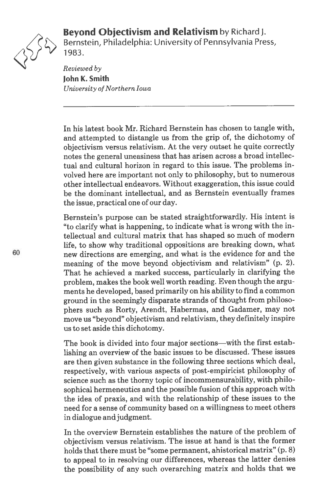



Bernstein, Philadelphia: University of Pennsylvania Press, <sup>~</sup> 1983.

Reviewed by John K. Smith University of Northern Iowa

In his latest book Mr. Richard Bernstein has chosen to tangle with, and attempted to distangle us from the grip of, the dichotomy of objectivism versus relativism. At the very outset he quite correctly notes the general uneasiness that has arisen across <sup>a</sup> broad intellec tual and cultural horizon in regard to this issue. The problems in volved here are important not only to philosophy, but to numerous other intellectual endeavors. Without exaggeration, this issue could be the dominant intellectual, and as Bernstein eventually frames the issue, practical one of our day.

Bernstein's purpose can be stated straightforwardly. His intent is "to clarify what is happening, to indicate what is wrong with the in tellectual and cultural matrix that has shaped so much of modern life, to show why traditional oppositions are breaking down, what new directions are emerging, and what is the evidence for and the meaning of the move beyond objectivism and relativism" (p. 2). That he achieved <sup>a</sup> marked success, particularly in clarifying the problem, makes the book well worth reading. Even though the argu ments he developed, based primarily on his ability to find <sup>a</sup> common ground in the seemingly disparate strands of thought from philoso phers such as Rorty, Arendt, Habermas, and Gadamer, may not move us "beyond" objectivism and relativism, they definitely inspire us to set aside this dichotomy.

The book is divided into four major sections—with the first estab lishing an overview of the basic issues to be discussed. These issues are then given substance in the following three sections which deal, respectively, with various aspects of post-empiricist philosophy of science such as the thorny topic of incommensurability, with philo sophical hermeneutics and the possible fusion of this approach with the idea of praxis, and with the relationship of these issues to the need for <sup>a</sup> sense of community based on <sup>a</sup> willingness to meet others in dialogue and judgment.

In the overview Bernstein establishes the nature of the problem of objectivism versus relativism. The issue at hand is that the former holds that there must be "some permanent, ahistorical matrix" (p. 8) to appeal to in resolving our differences, whereas the latter denies the possibility of any such overarching matrix and holds that we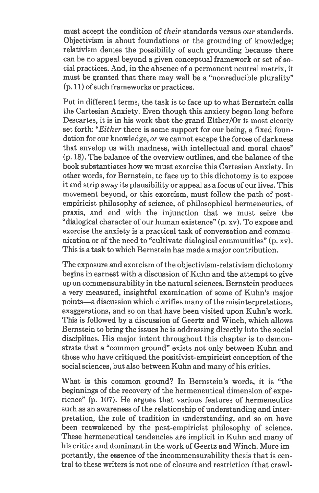must accept the condition of their standards versus our standards. Objectivism is about foundations or the grounding of knowledge; relativism denies the possibility of such grounding because there can be no appeal beyond <sup>a</sup> given conceptual framework or set of so cial practices. And, in the absence of <sup>a</sup> permanent neutral matrix, it must be granted that there may well be <sup>a</sup> "nonreducible plurality" (p. 11) of such frameworks or practices.

Put in different terms, the task is to face up to what Bernstein calls the Cartesian Anxiety. Even though this anxiety began long before Descartes, it is in his work that the grand Either/Or is most clearly set forth: "Either there is some support for our being, a fixed foundation for our knowledge, or we cannot escape the forces of darkness that envelop us with madness, with intellectual and moral chaos" (p. 18). The balance of the overview outlines, and the balance of the book substantiates how we must exorcise this Cartesian Anxiety. In other words, for Bernstein, to face up to this dichotomy is to expose it and strip away its plausibility or appeal as <sup>a</sup> focus of our lives. This movement beyond, or this exorcism, must follow the path of postempiricist philosophy of science, of philosophical hermeneutics, of praxis, and end with the injunction that we must seize the "dialogical character of our human existence" (p. xv). To expose and exorcise the anxiety is <sup>a</sup> practical task of conversation and commu nication or of the need to "cultivate dialogical communities" (p. xv). This is <sup>a</sup> task to which Bernstein has made <sup>a</sup> major contribution.

The exposure and exorcism of the objectivism-relativism dichotomy begins in earnest with <sup>a</sup> discussion of Kuhn and the attempt to give up on commensurability in the natural sciences. Bernstein produces <sup>a</sup> very measured, insightful examination of some of Kuhn's major points—a discussion which clarifies many of the misinterpretations, exaggerations, and so on that have been visited upon Kuhn's work. This is followed by <sup>a</sup> discussion of Geertz and Winch, which allows Bernstein to bring the issues he is addressing directly into the social disciplines. His major intent throughout this chapter is to demon strate that <sup>a</sup> "common ground" exists not only between Kuhn and those who have critiqued the positivist-empiricist conception of the social sciences, but also between Kuhn and many of his critics.

What is this common ground? In Bernstein's words, it is "the beginnings of the recovery of the hermeneutical dimension of expe rience" (p. 107). He argues that various features of hermeneutics such as an awareness of the relationship of understanding and interpretation, the role of tradition in understanding, and so on have been reawakened by the post-empiricist philosophy of science. These hermeneutical tendencies are implicit in Kuhn and many of his critics and dominant in the work of Geertz and Winch. More im portantly, the essence of the incommensurability thesis that is cen tral to these writers is not one of closure and restriction (that crawl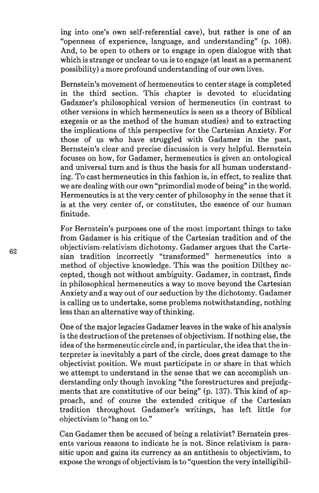ing into one's own self-referential cave), but rather is one of an "openness of experience, language, and understanding" (p. 108). And, to be open to others or to engage in open dialogue with that which is strange or unclear to us is to engage (at least as <sup>a</sup> permanent possibility) <sup>a</sup> more profound understanding of our own lives.

Bernstein's movement of hermeneutics to center stage is completed in the third section. This chapter is devoted to elucidating Gadamer's philosophical version of hermeneutics (in contrast to other versions in which hermeneutics is seen as <sup>a</sup> theory of Biblical exegesis or as the method of the human studies) and to extracting the implications of this perspective for the Cartesian Anxiety. For those of us who have struggled with Gadamer in the past, Bernstein's clear and precise discussion is very helpful. Bernstein focuses on how, for Gadamer, hermeneutics is given an ontological and universal turn and is thus the basis for all human understand ing. To cast hermeneutics in this fashion is, in effect, to realize that we are dealing with our own "primordial mode of being" in the world. Hermeneutics is at the very center of philosophy in the sense that it is at the very center of, or constitutes, the essence of our human finitude.

For Bernstein's purposes one of the most important things to take from Gadamer is his critique of the Cartesian tradition and of the objectivism-relativism dichotomy. Gadamer argues that the Carte sian tradition incorrectly "transformed" hermeneutics into <sup>a</sup> method of objective knowledge. This was the position Dilthey ac cepted, though not without ambiguity. Gadamer, in contrast, finds in philosophical hermeneutics <sup>a</sup> way to move beyond the Cartesian Anxiety and <sup>a</sup> way out of our seduction by the dichotomy. Gadamer is calling us to undertake, some problems notwithstanding, nothing less than an alternative way of thinking.

One of the major legacies Gadamer leaves in the wake of his analysis is the destruction of the pretenses of objectivism. If nothing else, the idea of the hermeneutic circle and, in particular, the idea that the interpreter is inevitably <sup>a</sup> part of the circle, does great damage to the objectivist position. We must participate in or share in that which we attempt to understand in the sense that we can accomplish un derstanding only though invoking "the forestructures and prejudg ments that are constitutive of our being" (p. 137). This kind of ap proach, and of course the extended critique of the Cartesian tradition throughout Gadamer's writings, has left little for objectivism to "hang on to."

Can Gadamer then be accused of being <sup>a</sup> relativist? Bernstein pres ents various reasons to indicate he is not. Since relativism is para sitic upon and gains its currency as an antithesis to objectivism, to expose the wrongs of objectivism is to "question the very intelligibil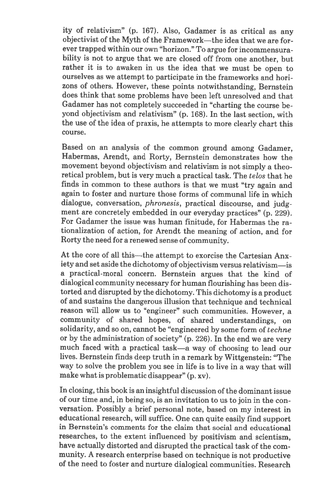ity of relativism" (p. 167). Also, Gadamer is as critical as any objectivist of the Myth of the Framework—the idea that we are for ever trapped within our own "horizon." To argue for incommensura bility is not to argue that we are closed off from one another, but rather it is to awaken in us the idea that we must be open to ourselves as we attempt to participate in the frameworks and hori zons of others. However, these points notwithstanding, Bernstein does think that some problems have been left unresolved and that Gadamer has not completely succeeded in "charting the course be yond objectivism and relativism" (p. 168). In the last section, with the use of the idea of praxis, he attempts to more clearly chart this course.

Based on an analysis of the common ground among Gadamer, Habermas, Arendt, and Rorty, Bernstein demonstrates how the movement beyond objectivism and relativism is not simply <sup>a</sup> theo retical problem, but is very much <sup>a</sup> practical task. The telos that he finds in common to these authors is that we must "try again and again to foster and nurture those forms of communal life in which dialogue, conversation, phronesis, practical discourse, and judg ment are concretely embedded in our everyday practices" (p. 229). For Gadamer the issue was human finitude, for Habermas the ra tionalization of action, for Arendt the meaning of action, and for Rorty the need for <sup>a</sup> renewed sense of community.

At the core of all this—the attempt to exorcise the Cartesian Anx iety and set aside the dichotomy of objectivism versus relativism—is <sup>a</sup> practical-moral concern. Bernstein argues that the kind of dialogical community necessary for human flourishing has been dis torted and disrupted by the dichotomy. This dichotomy is <sup>a</sup> product of and sustains the dangerous illusion that technique and technical reason will allow us to "engineer" such communities. However, <sup>a</sup> community of shared hopes, of shared understandings, on solidarity, and so on, cannot be "engineered by some form of techne or by the administration of society" (p. 226). In the end we are very much faced with <sup>a</sup> practical task—a way of choosing to lead our lives. Bernstein finds deep truth in <sup>a</sup> remark by Wittgenstein: "The way to solve the problem you see in life is to live in <sup>a</sup> way that will make what is problematic disappear" (p. xv).

In closing, this book is an insightful discussion of the dominant issue of our time and, in being so, is an invitation to us to join in the con versation. Possibly <sup>a</sup> brief personal note, based on my interest in educational research, will suffice. One can quite easily find support in Bernstein's comments for the claim that social and educational researches, to the extent influenced by positivism and scientism, have actually distorted and disrupted the practical task of the com munity. A research enterprise based on technique is not productive of the need to foster and nurture dialogical communities. Research